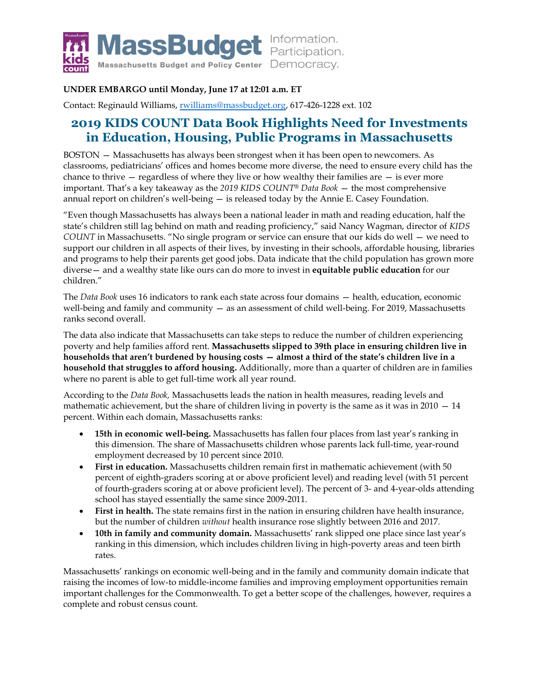

## **UNDER EMBARGO until Monday, June 17 at 12:01 a.m. ET**

Contact: Reginauld Williams, [rwilliams@massbudget.org,](mailto:rwilliams@massbudget.org) 617-426-1228 ext. 102

# **2019 KIDS COUNT Data Book Highlights Need for Investments in Education, Housing, Public Programs in Massachusetts**

BOSTON — Massachusetts has always been strongest when it has been open to newcomers. As classrooms, pediatricians' offices and homes become more diverse, the need to ensure every child has the chance to thrive  $-$  regardless of where they live or how wealthy their families are  $-$  is ever more important. That's a key takeaway as the *2019 KIDS COUNT® Data Book* — the most comprehensive annual report on children's well-being — is released today by the Annie E. Casey Foundation.

"Even though Massachusetts has always been a national leader in math and reading education, half the state's children still lag behind on math and reading proficiency," said Nancy Wagman, director of *KIDS COUNT* in Massachusetts. "No single program or service can ensure that our kids do well — we need to support our children in all aspects of their lives, by investing in their schools, affordable housing, libraries and programs to help their parents get good jobs. Data indicate that the child population has grown more diverse— and a wealthy state like ours can do more to invest in **equitable public education** for our children."

The *Data Book* uses 16 indicators to rank each state across four domains — health, education, economic well-being and family and community — as an assessment of child well-being. For 2019, Massachusetts ranks second overall.

The data also indicate that Massachusetts can take steps to reduce the number of children experiencing poverty and help families afford rent. **Massachusetts slipped to 39th place in ensuring children live in households that aren't burdened by housing costs — almost a third of the state's children live in a household that struggles to afford housing.** Additionally, more than a quarter of children are in families where no parent is able to get full-time work all year round.

According to the *Data Book,* Massachusetts leads the nation in health measures, reading levels and mathematic achievement, but the share of children living in poverty is the same as it was in  $2010 - 14$ percent. Within each domain, Massachusetts ranks:

- **15th in economic well-being.** Massachusetts has fallen four places from last year's ranking in this dimension. The share of Massachusetts children whose parents lack full-time, year-round employment decreased by 10 percent since 2010.
- **First in education.** Massachusetts children remain first in mathematic achievement (with 50 percent of eighth-graders scoring at or above proficient level) and reading level (with 51 percent of fourth-graders scoring at or above proficient level). The percent of 3- and 4-year-olds attending school has stayed essentially the same since 2009-2011.
- **First in health.** The state remains first in the nation in ensuring children have health insurance, but the number of children *without* health insurance rose slightly between 2016 and 2017.
- **10th in family and community domain.** Massachusetts' rank slipped one place since last year's ranking in this dimension, which includes children living in high-poverty areas and teen birth rates.

Massachusetts' rankings on economic well-being and in the family and community domain indicate that raising the incomes of low-to middle-income families and improving employment opportunities remain important challenges for the Commonwealth. To get a better scope of the challenges, however, requires a complete and robust census count.